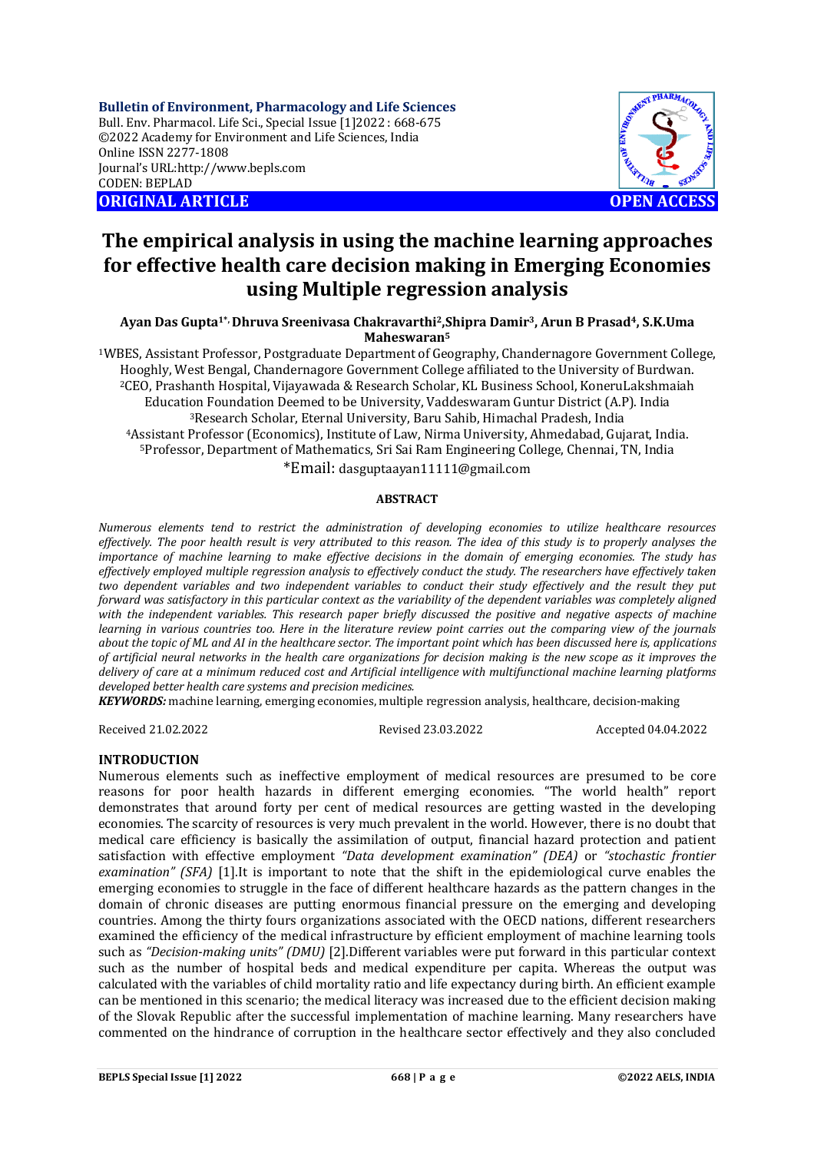**Bulletin of Environment, Pharmacology and Life Sciences** Bull. Env. Pharmacol. Life Sci., Special Issue [1]2022 : 668-675 ©2022 Academy for Environment and Life Sciences, India Online ISSN 2277-1808 Journal's URL:<http://www.bepls.com> CODEN: BEPLAD **ORIGINAL ARTICLE OPEN ACCESS** 



# **The empirical analysis in using the machine learning approaches for effective health care decision making in Emerging Economies using Multiple regression analysis**

**Ayan Das Gupta1\*, Dhruva Sreenivasa Chakravarthi2,Shipra Damir3, Arun B Prasad4, S.K.Uma Maheswaran<sup>5</sup>**

WBES, Assistant Professor, Postgraduate Department of Geography, Chandernagore Government College, Hooghly, West Bengal, Chandernagore Government College affiliated to the University of Burdwan. CEO, Prashanth Hospital, Vijayawada & Research Scholar, KL Business School, KoneruLakshmaiah Education Foundation Deemed to be University, Vaddeswaram Guntur District (A.P). India Research Scholar, Eternal University, Baru Sahib, Himachal Pradesh, India Assistant Professor (Economics), Institute of Law, Nirma University, Ahmedabad, Gujarat, India. Professor, Department of Mathematics, Sri Sai Ram Engineering College, Chennai, TN, India

\*Email: [dasguptaayan11111@gmail.com](mailto:dasguptaayan11111@gmail.com)

### **ABSTRACT**

*Numerous elements tend to restrict the administration of developing economies to utilize healthcare resources effectively. The poor health result is very attributed to this reason. The idea of this study is to properly analyses the importance of machine learning to make effective decisions in the domain of emerging economies. The study has effectively employed multiple regression analysis to effectively conduct the study. The researchers have effectively taken two dependent variables and two independent variables to conduct their study effectively and the result they put forward was satisfactory in this particular context as the variability of the dependent variables was completely aligned*  with the independent variables. This research paper briefly discussed the positive and negative aspects of machine *learning in various countries too. Here in the literature review point carries out the comparing view of the journals about the topic of ML and AI in the healthcare sector. The important point which has been discussed here is, applications of artificial neural networks in the health care organizations for decision making is the new scope as it improves the delivery of care at a minimum reduced cost and Artificial intelligence with multifunctional machine learning platforms developed better health care systems and precision medicines.*

*KEYWORDS:* machine learning, emerging economies, multiple regression analysis, healthcare, decision-making

Received 21.02.2022 Revised 23.03.2022 Accepted 04.04.2022

# **INTRODUCTION**

Numerous elements such as ineffective employment of medical resources are presumed to be core reasons for poor health hazards in different emerging economies. "The world health" report demonstrates that around forty per cent of medical resources are getting wasted in the developing economies. The scarcity of resources is very much prevalent in the world. However, there is no doubt that medical care efficiency is basically the assimilation of output, financial hazard protection and patient satisfaction with effective employment *"Data development examination" (DEA)* or *"stochastic frontier examination" (SFA)* [1].It is important to note that the shift in the epidemiological curve enables the emerging economies to struggle in the face of different healthcare hazards as the pattern changes in the domain of chronic diseases are putting enormous financial pressure on the emerging and developing countries. Among the thirty fours organizations associated with the OECD nations, different researchers examined the efficiency of the medical infrastructure by efficient employment of machine learning tools such as *"Decision-making units" (DMU)* [2].Different variables were put forward in this particular context such as the number of hospital beds and medical expenditure per capita. Whereas the output was calculated with the variables of child mortality ratio and life expectancy during birth. An efficient example can be mentioned in this scenario; the medical literacy was increased due to the efficient decision making of the Slovak Republic after the successful implementation of machine learning. Many researchers have commented on the hindrance of corruption in the healthcare sector effectively and they also concluded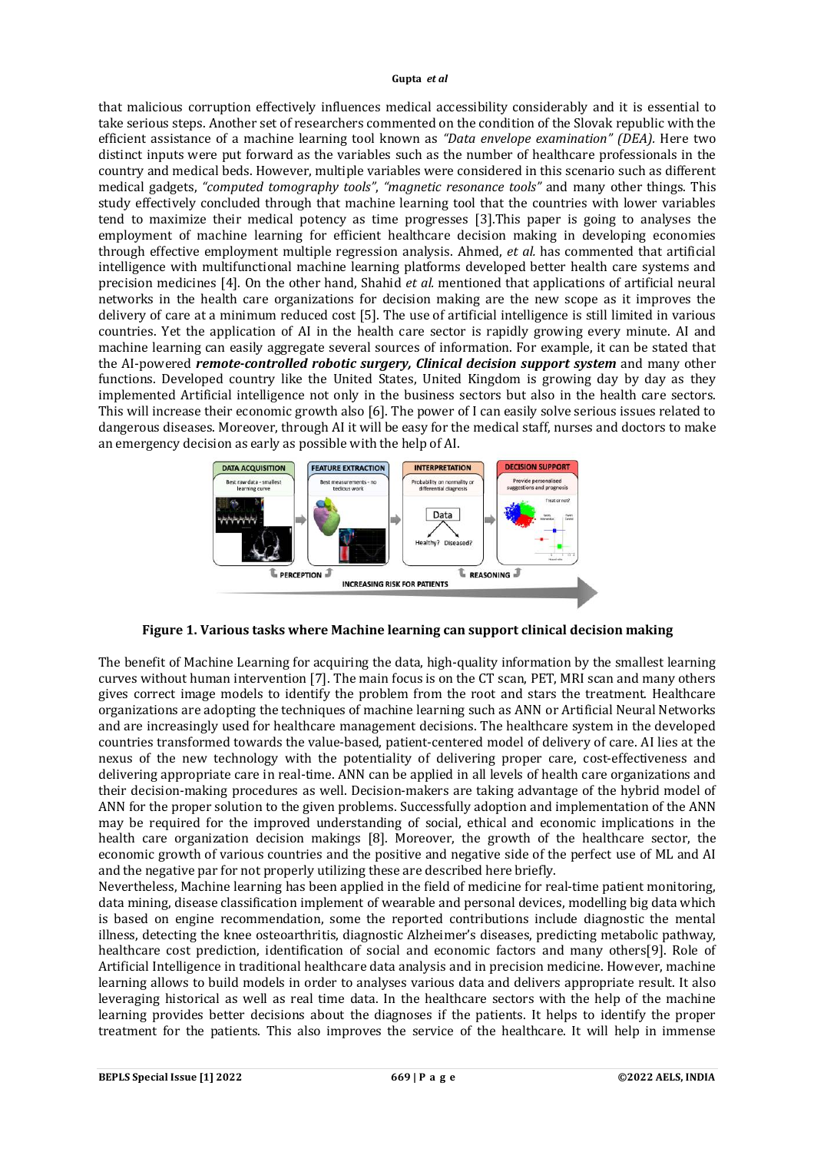that malicious corruption effectively influences medical accessibility considerably and it is essential to take serious steps. Another set of researchers commented on the condition of the Slovak republic with the efficient assistance of a machine learning tool known as *"Data envelope examination" (DEA).* Here two distinct inputs were put forward as the variables such as the number of healthcare professionals in the country and medical beds. However, multiple variables were considered in this scenario such as different medical gadgets, *"computed tomography tools"*, *"magnetic resonance tools"* and many other things. This study effectively concluded through that machine learning tool that the countries with lower variables tend to maximize their medical potency as time progresses [3].This paper is going to analyses the employment of machine learning for efficient healthcare decision making in developing economies through effective employment multiple regression analysis. Ahmed, *et al.* has commented that artificial intelligence with multifunctional machine learning platforms developed better health care systems and precision medicines [4]. On the other hand, Shahid *et al.* mentioned that applications of artificial neural networks in the health care organizations for decision making are the new scope as it improves the delivery of care at a minimum reduced cost [5]. The use of artificial intelligence is still limited in various countries. Yet the application of AI in the health care sector is rapidly growing every minute. AI and machine learning can easily aggregate several sources of information. For example, it can be stated that the AI-powered *remote-controlled robotic surgery, Clinical decision support system* and many other functions. Developed country like the United States, United Kingdom is growing day by day as they implemented Artificial intelligence not only in the business sectors but also in the health care sectors. This will increase their economic growth also [6]. The power of I can easily solve serious issues related to dangerous diseases. Moreover, through AI it will be easy for the medical staff, nurses and doctors to make an emergency decision as early as possible with the help of AI.



**Figure 1. Various tasks where Machine learning can support clinical decision making**

The benefit of Machine Learning for acquiring the data, high-quality information by the smallest learning curves without human intervention [7]. The main focus is on the CT scan, PET, MRI scan and many others gives correct image models to identify the problem from the root and stars the treatment. Healthcare organizations are adopting the techniques of machine learning such as ANN or Artificial Neural Networks and are increasingly used for healthcare management decisions. The healthcare system in the developed countries transformed towards the value-based, patient-centered model of delivery of care. AI lies at the nexus of the new technology with the potentiality of delivering proper care, cost-effectiveness and delivering appropriate care in real-time. ANN can be applied in all levels of health care organizations and their decision-making procedures as well. Decision-makers are taking advantage of the hybrid model of ANN for the proper solution to the given problems. Successfully adoption and implementation of the ANN may be required for the improved understanding of social, ethical and economic implications in the health care organization decision makings [8]. Moreover, the growth of the healthcare sector, the economic growth of various countries and the positive and negative side of the perfect use of ML and AI and the negative par for not properly utilizing these are described here briefly.

Nevertheless, Machine learning has been applied in the field of medicine for real-time patient monitoring, data mining, disease classification implement of wearable and personal devices, modelling big data which is based on engine recommendation, some the reported contributions include diagnostic the mental illness, detecting the knee osteoarthritis, diagnostic Alzheimer's diseases, predicting metabolic pathway, healthcare cost prediction, identification of social and economic factors and many others[9]. Role of Artificial Intelligence in traditional healthcare data analysis and in precision medicine. However, machine learning allows to build models in order to analyses various data and delivers appropriate result. It also leveraging historical as well as real time data. In the healthcare sectors with the help of the machine learning provides better decisions about the diagnoses if the patients. It helps to identify the proper treatment for the patients. This also improves the service of the healthcare. It will help in immense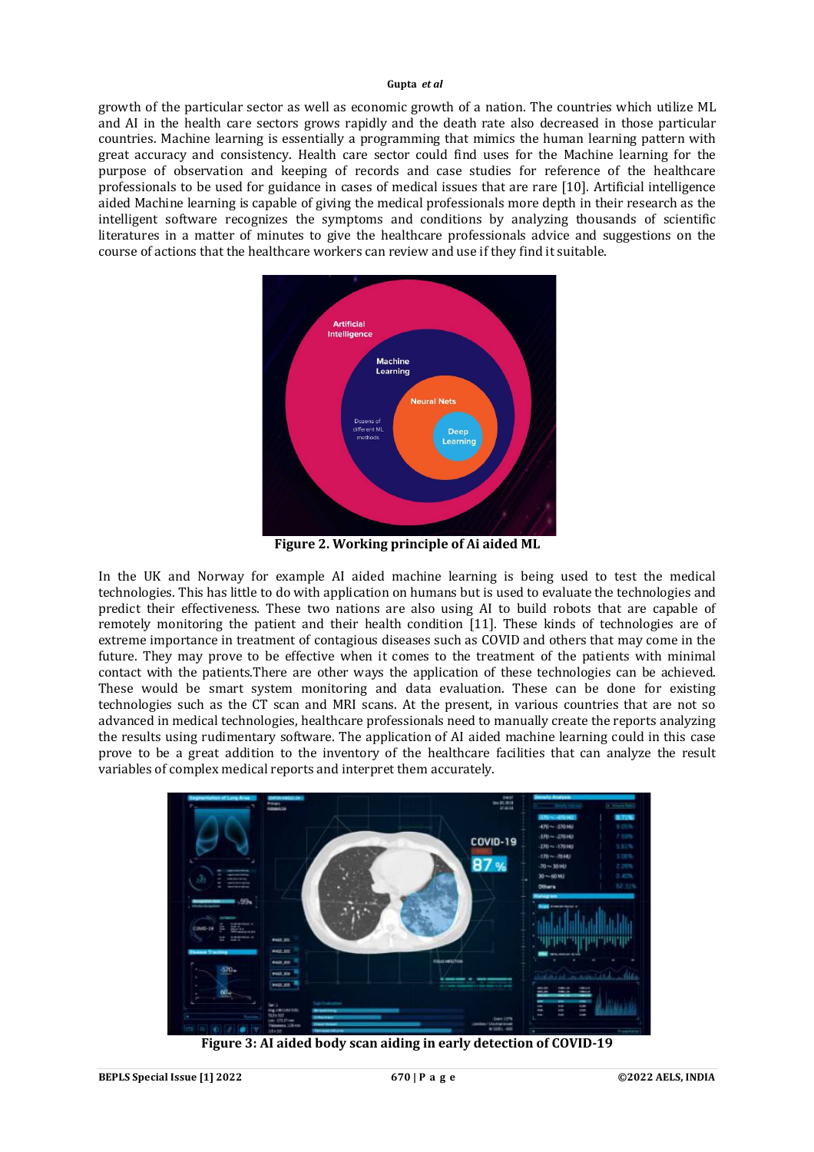growth of the particular sector as well as economic growth of a nation. The countries which utilize ML and AI in the health care sectors grows rapidly and the death rate also decreased in those particular countries. Machine learning is essentially a programming that mimics the human learning pattern with great accuracy and consistency. Health care sector could find uses for the Machine learning for the purpose of observation and keeping of records and case studies for reference of the healthcare professionals to be used for guidance in cases of medical issues that are rare [10]. Artificial intelligence aided Machine learning is capable of giving the medical professionals more depth in their research as the intelligent software recognizes the symptoms and conditions by analyzing thousands of scientific literatures in a matter of minutes to give the healthcare professionals advice and suggestions on the course of actions that the healthcare workers can review and use if they find it suitable.



**Figure 2. Working principle of Ai aided ML**

In the UK and Norway for example AI aided machine learning is being used to test the medical technologies. This has little to do with application on humans but is used to evaluate the technologies and predict their effectiveness. These two nations are also using AI to build robots that are capable of remotely monitoring the patient and their health condition [11]. These kinds of technologies are of extreme importance in treatment of contagious diseases such as COVID and others that may come in the future. They may prove to be effective when it comes to the treatment of the patients with minimal contact with the patients.There are other ways the application of these technologies can be achieved. These would be smart system monitoring and data evaluation. These can be done for existing technologies such as the CT scan and MRI scans. At the present, in various countries that are not so advanced in medical technologies, healthcare professionals need to manually create the reports analyzing the results using rudimentary software. The application of AI aided machine learning could in this case prove to be a great addition to the inventory of the healthcare facilities that can analyze the result variables of complex medical reports and interpret them accurately.



**Figure 3: AI aided body scan aiding in early detection of COVID-19**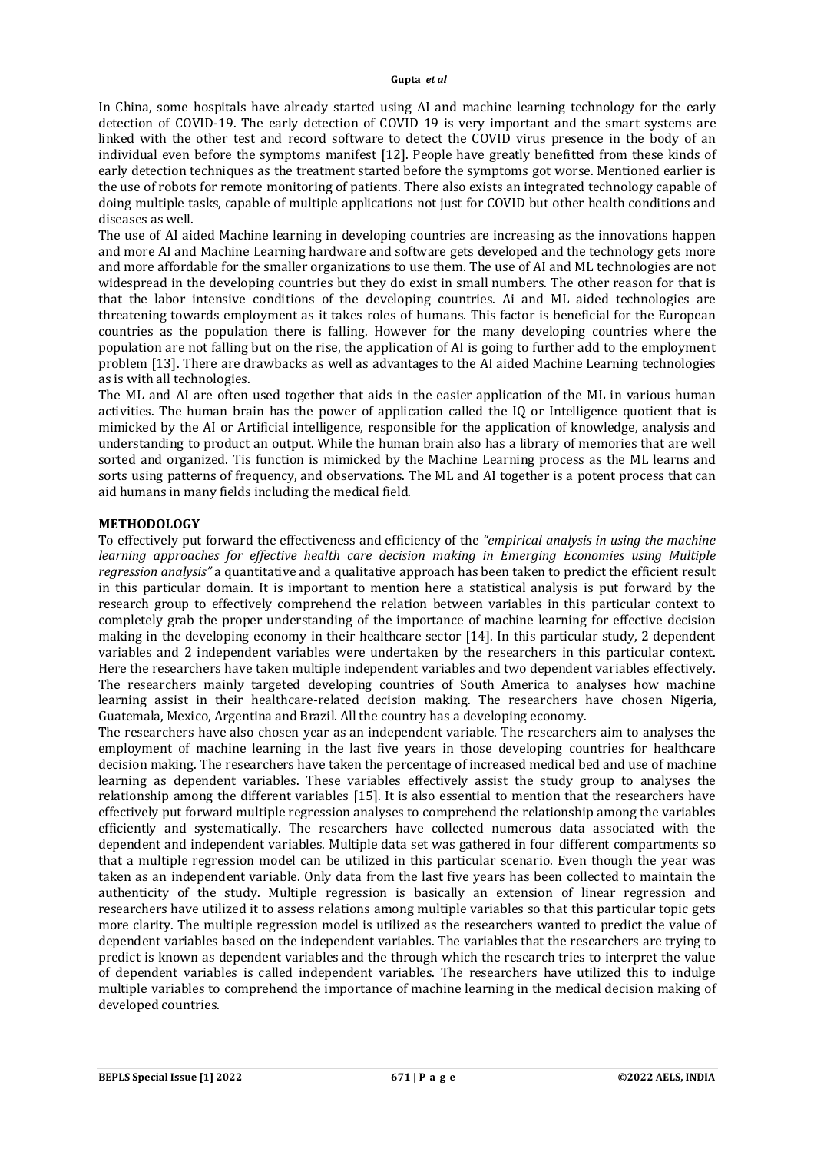In China, some hospitals have already started using AI and machine learning technology for the early detection of COVID-19. The early detection of COVID 19 is very important and the smart systems are linked with the other test and record software to detect the COVID virus presence in the body of an individual even before the symptoms manifest [12]. People have greatly benefitted from these kinds of early detection techniques as the treatment started before the symptoms got worse. Mentioned earlier is the use of robots for remote monitoring of patients. There also exists an integrated technology capable of doing multiple tasks, capable of multiple applications not just for COVID but other health conditions and diseases as well.

The use of AI aided Machine learning in developing countries are increasing as the innovations happen and more AI and Machine Learning hardware and software gets developed and the technology gets more and more affordable for the smaller organizations to use them. The use of AI and ML technologies are not widespread in the developing countries but they do exist in small numbers. The other reason for that is that the labor intensive conditions of the developing countries. Ai and ML aided technologies are threatening towards employment as it takes roles of humans. This factor is beneficial for the European countries as the population there is falling. However for the many developing countries where the population are not falling but on the rise, the application of AI is going to further add to the employment problem [13]. There are drawbacks as well as advantages to the AI aided Machine Learning technologies as is with all technologies.

The ML and AI are often used together that aids in the easier application of the ML in various human activities. The human brain has the power of application called the IQ or Intelligence quotient that is mimicked by the AI or Artificial intelligence, responsible for the application of knowledge, analysis and understanding to product an output. While the human brain also has a library of memories that are well sorted and organized. Tis function is mimicked by the Machine Learning process as the ML learns and sorts using patterns of frequency, and observations. The ML and AI together is a potent process that can aid humans in many fields including the medical field.

# **METHODOLOGY**

To effectively put forward the effectiveness and efficiency of the *"empirical analysis in using the machine learning approaches for effective health care decision making in Emerging Economies using Multiple regression analysis"* a quantitative and a qualitative approach has been taken to predict the efficient result in this particular domain. It is important to mention here a statistical analysis is put forward by the research group to effectively comprehend the relation between variables in this particular context to completely grab the proper understanding of the importance of machine learning for effective decision making in the developing economy in their healthcare sector [14]. In this particular study, 2 dependent variables and 2 independent variables were undertaken by the researchers in this particular context. Here the researchers have taken multiple independent variables and two dependent variables effectively. The researchers mainly targeted developing countries of South America to analyses how machine learning assist in their healthcare-related decision making. The researchers have chosen Nigeria, Guatemala, Mexico, Argentina and Brazil. All the country has a developing economy.

The researchers have also chosen year as an independent variable. The researchers aim to analyses the employment of machine learning in the last five years in those developing countries for healthcare decision making. The researchers have taken the percentage of increased medical bed and use of machine learning as dependent variables. These variables effectively assist the study group to analyses the relationship among the different variables [15]. It is also essential to mention that the researchers have effectively put forward multiple regression analyses to comprehend the relationship among the variables efficiently and systematically. The researchers have collected numerous data associated with the dependent and independent variables. Multiple data set was gathered in four different compartments so that a multiple regression model can be utilized in this particular scenario. Even though the year was taken as an independent variable. Only data from the last five years has been collected to maintain the authenticity of the study. Multiple regression is basically an extension of linear regression and researchers have utilized it to assess relations among multiple variables so that this particular topic gets more clarity. The multiple regression model is utilized as the researchers wanted to predict the value of dependent variables based on the independent variables. The variables that the researchers are trying to predict is known as dependent variables and the through which the research tries to interpret the value of dependent variables is called independent variables. The researchers have utilized this to indulge multiple variables to comprehend the importance of machine learning in the medical decision making of developed countries.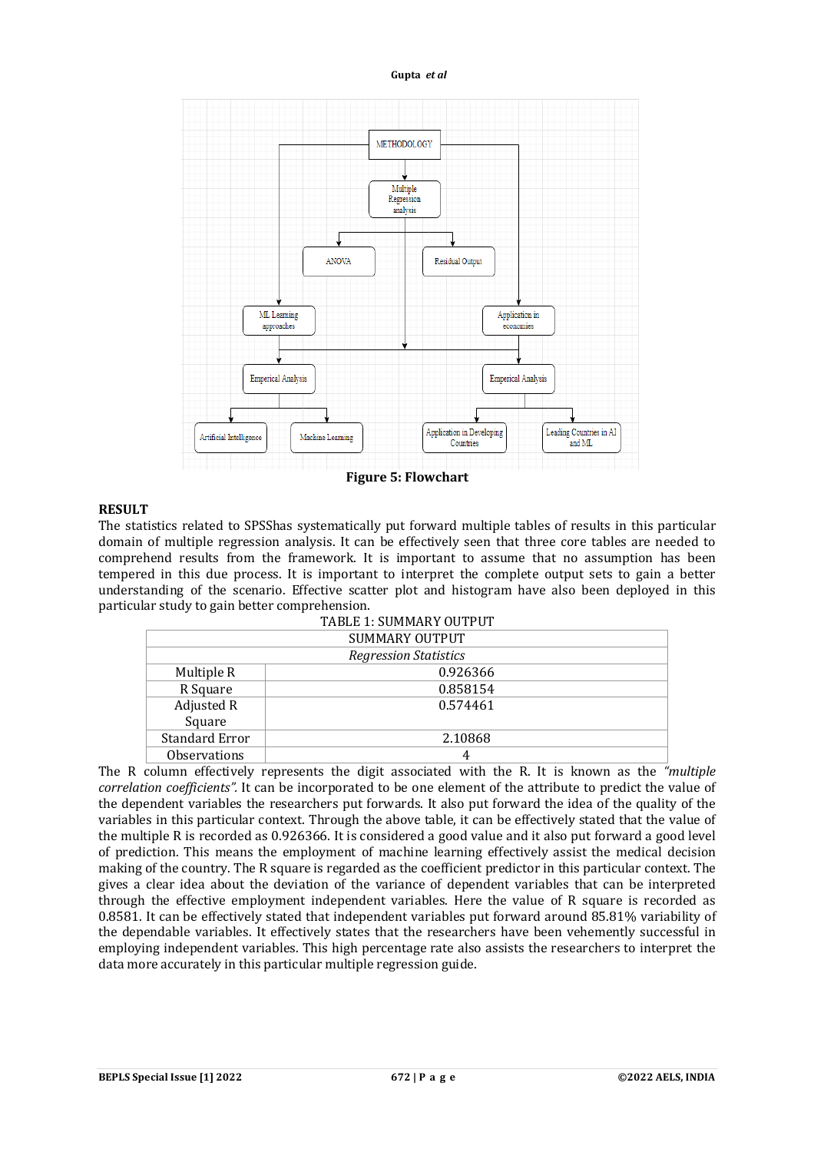

### **Figure 5: Flowchart**

# **RESULT**

The statistics related to SPSShas systematically put forward multiple tables of results in this particular domain of multiple regression analysis. It can be effectively seen that three core tables are needed to comprehend results from the framework. It is important to assume that no assumption has been tempered in this due process. It is important to interpret the complete output sets to gain a better understanding of the scenario. Effective scatter plot and histogram have also been deployed in this particular study to gain better comprehension.

| <b>TABLE 1: SUMMARY OUTPUT</b> |          |  |  |  |  |
|--------------------------------|----------|--|--|--|--|
| <b>SUMMARY OUTPUT</b>          |          |  |  |  |  |
| <b>Regression Statistics</b>   |          |  |  |  |  |
| Multiple R                     | 0.926366 |  |  |  |  |
| R Square                       | 0.858154 |  |  |  |  |
| Adjusted R                     | 0.574461 |  |  |  |  |
| Square                         |          |  |  |  |  |
| <b>Standard Error</b>          | 2.10868  |  |  |  |  |
| <b>Observations</b>            |          |  |  |  |  |

The R column effectively represents the digit associated with the R. It is known as the *"multiple correlation coefficients".* It can be incorporated to be one element of the attribute to predict the value of the dependent variables the researchers put forwards. It also put forward the idea of the quality of the variables in this particular context. Through the above table, it can be effectively stated that the value of the multiple R is recorded as 0.926366. It is considered a good value and it also put forward a good level of prediction. This means the employment of machine learning effectively assist the medical decision making of the country. The R square is regarded as the coefficient predictor in this particular context. The gives a clear idea about the deviation of the variance of dependent variables that can be interpreted through the effective employment independent variables. Here the value of R square is recorded as 0.8581. It can be effectively stated that independent variables put forward around 85.81% variability of the dependable variables. It effectively states that the researchers have been vehemently successful in employing independent variables. This high percentage rate also assists the researchers to interpret the data more accurately in this particular multiple regression guide.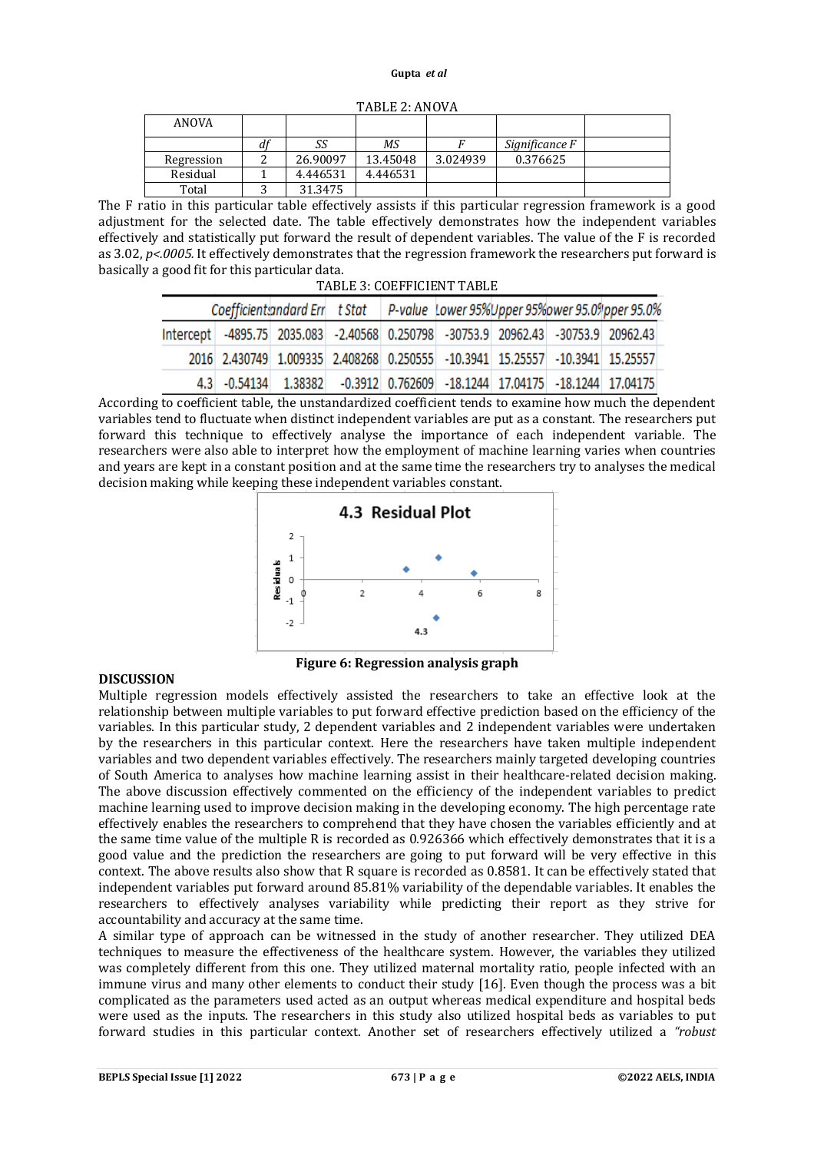| $1$ ndle 4. Nivu v n |   |          |          |          |                |  |  |  |  |
|----------------------|---|----------|----------|----------|----------------|--|--|--|--|
| ANOVA                |   |          |          |          |                |  |  |  |  |
|                      | u | SS       | ΜS       |          | Significance F |  |  |  |  |
| Regression           |   | 26.90097 | 13.45048 | 3.024939 | 0.376625       |  |  |  |  |
| Residual             |   | 4.446531 | 4.446531 |          |                |  |  |  |  |
| Total                |   | 31.3475  |          |          |                |  |  |  |  |

TABLE 2: ANOVA

The F ratio in this particular table effectively assists if this particular regression framework is a good adjustment for the selected date. The table effectively demonstrates how the independent variables effectively and statistically put forward the result of dependent variables. The value of the F is recorded as 3.02, *p<.0005.* It effectively demonstrates that the regression framework the researchers put forward is basically a good fit for this particular data.  $\overline{z}$   $\overline{z}$  coefficient  $\overline{w}$  to  $\overline{v}$ 

| TABLE 3: COEFFICIENT TABLE |                                                                                   |  |  |  |  |  |  |                                                                                   |  |  |  |
|----------------------------|-----------------------------------------------------------------------------------|--|--|--|--|--|--|-----------------------------------------------------------------------------------|--|--|--|
|                            |                                                                                   |  |  |  |  |  |  | Coefficient and ard Err t Stat P-value Lower 95% Upper 95% ower 95.0 % pper 95.0% |  |  |  |
|                            | Intercept -4895.75 2035.083 -2.40568 0.250798 -30753.9 20962.43 -30753.9 20962.43 |  |  |  |  |  |  |                                                                                   |  |  |  |
|                            | 2016 2.430749 1.009335 2.408268 0.250555 -10.3941 15.25557 -10.3941 15.25557      |  |  |  |  |  |  |                                                                                   |  |  |  |
|                            | 4.3 -0.54134 1.38382 -0.3912 0.762609 -18.1244 17.04175 -18.1244 17.04175         |  |  |  |  |  |  |                                                                                   |  |  |  |

According to coefficient table, the unstandardized coefficient tends to examine how much the dependent variables tend to fluctuate when distinct independent variables are put as a constant. The researchers put forward this technique to effectively analyse the importance of each independent variable. The researchers were also able to interpret how the employment of machine learning varies when countries and years are kept in a constant position and at the same time the researchers try to analyses the medical decision making while keeping these independent variables constant.



**Figure 6: Regression analysis graph**

# **DISCUSSION**

Multiple regression models effectively assisted the researchers to take an effective look at the relationship between multiple variables to put forward effective prediction based on the efficiency of the variables. In this particular study, 2 dependent variables and 2 independent variables were undertaken by the researchers in this particular context. Here the researchers have taken multiple independent variables and two dependent variables effectively. The researchers mainly targeted developing countries of South America to analyses how machine learning assist in their healthcare-related decision making. The above discussion effectively commented on the efficiency of the independent variables to predict machine learning used to improve decision making in the developing economy. The high percentage rate effectively enables the researchers to comprehend that they have chosen the variables efficiently and at the same time value of the multiple R is recorded as 0.926366 which effectively demonstrates that it is a good value and the prediction the researchers are going to put forward will be very effective in this context. The above results also show that R square is recorded as 0.8581. It can be effectively stated that independent variables put forward around 85.81% variability of the dependable variables. It enables the researchers to effectively analyses variability while predicting their report as they strive for accountability and accuracy at the same time.

A similar type of approach can be witnessed in the study of another researcher. They utilized DEA techniques to measure the effectiveness of the healthcare system. However, the variables they utilized was completely different from this one. They utilized maternal mortality ratio, people infected with an immune virus and many other elements to conduct their study [16]. Even though the process was a bit complicated as the parameters used acted as an output whereas medical expenditure and hospital beds were used as the inputs. The researchers in this study also utilized hospital beds as variables to put forward studies in this particular context. Another set of researchers effectively utilized a *"robust*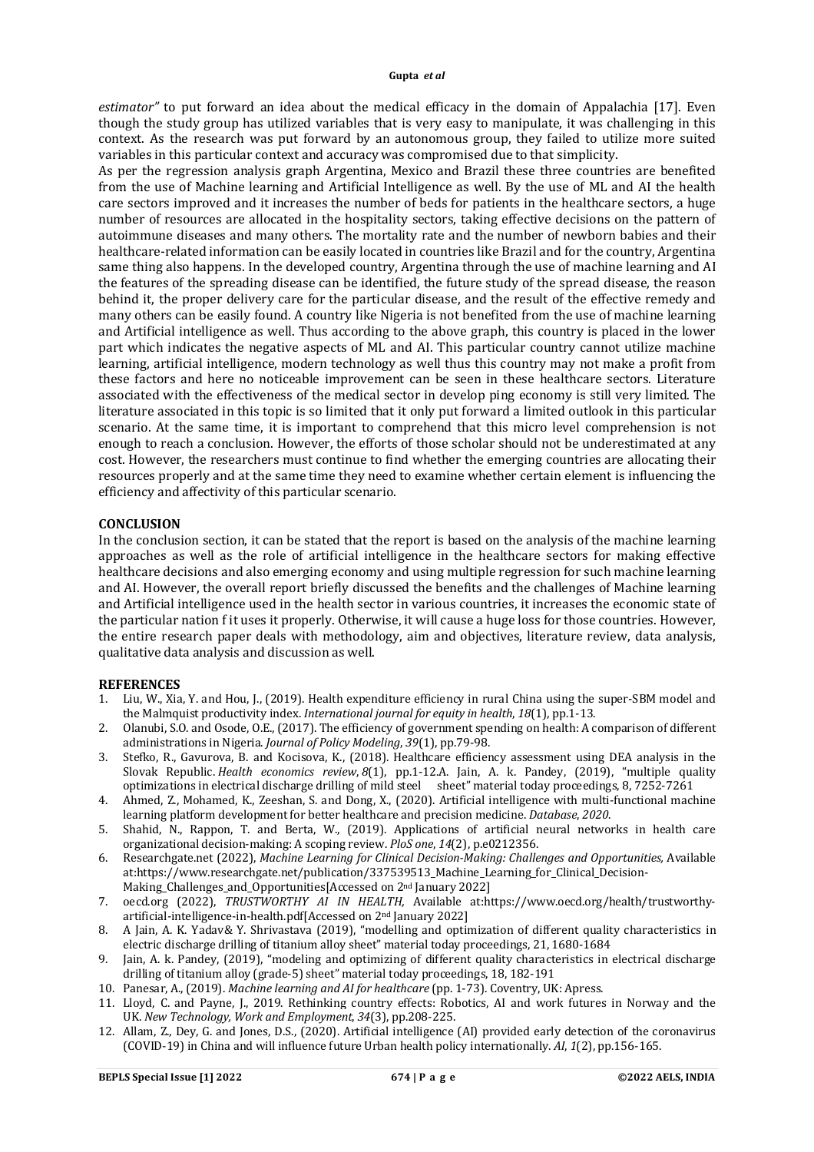*estimator"* to put forward an idea about the medical efficacy in the domain of Appalachia [17]. Even though the study group has utilized variables that is very easy to manipulate, it was challenging in this context. As the research was put forward by an autonomous group, they failed to utilize more suited variables in this particular context and accuracy was compromised due to that simplicity.

As per the regression analysis graph Argentina, Mexico and Brazil these three countries are benefited from the use of Machine learning and Artificial Intelligence as well. By the use of ML and AI the health care sectors improved and it increases the number of beds for patients in the healthcare sectors, a huge number of resources are allocated in the hospitality sectors, taking effective decisions on the pattern of autoimmune diseases and many others. The mortality rate and the number of newborn babies and their healthcare-related information can be easily located in countries like Brazil and for the country, Argentina same thing also happens. In the developed country, Argentina through the use of machine learning and AI the features of the spreading disease can be identified, the future study of the spread disease, the reason behind it, the proper delivery care for the particular disease, and the result of the effective remedy and many others can be easily found. A country like Nigeria is not benefited from the use of machine learning and Artificial intelligence as well. Thus according to the above graph, this country is placed in the lower part which indicates the negative aspects of ML and AI. This particular country cannot utilize machine learning, artificial intelligence, modern technology as well thus this country may not make a profit from these factors and here no noticeable improvement can be seen in these healthcare sectors. Literature associated with the effectiveness of the medical sector in develop ping economy is still very limited. The literature associated in this topic is so limited that it only put forward a limited outlook in this particular scenario. At the same time, it is important to comprehend that this micro level comprehension is not enough to reach a conclusion. However, the efforts of those scholar should not be underestimated at any cost. However, the researchers must continue to find whether the emerging countries are allocating their resources properly and at the same time they need to examine whether certain element is influencing the efficiency and affectivity of this particular scenario.

### **CONCLUSION**

In the conclusion section, it can be stated that the report is based on the analysis of the machine learning approaches as well as the role of artificial intelligence in the healthcare sectors for making effective healthcare decisions and also emerging economy and using multiple regression for such machine learning and AI. However, the overall report briefly discussed the benefits and the challenges of Machine learning and Artificial intelligence used in the health sector in various countries, it increases the economic state of the particular nation f it uses it properly. Otherwise, it will cause a huge loss for those countries. However, the entire research paper deals with methodology, aim and objectives, literature review, data analysis, qualitative data analysis and discussion as well.

# **REFERENCES**

- 1. Liu, W., Xia, Y. and Hou, J., (2019). Health expenditure efficiency in rural China using the super-SBM model and the Malmquist productivity index. *International journal for equity in health*, *18*(1), pp.1-13.
- 2. Olanubi, S.O. and Osode, O.E., (2017). The efficiency of government spending on health: A comparison of different administrations in Nigeria. *Journal of Policy Modeling*, *39*(1), pp.79-98.
- 3. Stefko, R., Gavurova, B. and Kocisova, K., (2018). Healthcare efficiency assessment using DEA analysis in the Slovak Republic. *Health economics review*, *8*(1), pp.1-12.A. Jain, A. k. Pandey, (2019), "multiple quality optimizations in electrical discharge drilling of mild steel sheet" material today proceedings, 8, 7252-7261
- 4. Ahmed, Z., Mohamed, K., Zeeshan, S. and Dong, X., (2020). Artificial intelligence with multi-functional machine learning platform development for better healthcare and precision medicine. *Database*, *2020*.
- 5. Shahid, N., Rappon, T. and Berta, W., (2019). Applications of artificial neural networks in health care organizational decision-making: A scoping review. *PloS one*, *14*(2), p.e0212356.
- 6. Researchgate.net (2022), *Machine Learning for Clinical Decision-Making: Challenges and Opportunities,* Available at[:https://www.researchgate.net/publication/337539513\\_Machine\\_Learning\\_for\\_Clinical\\_Decision-](https://www.researchgate.net/publication/337539513_Machine_Learning_for_Clinical_Decision-)Making Challenges and Opportunities[Accessed on 2<sup>nd</sup> January 2022]
- 7. oecd.org (2022), *TRUSTWORTHY AI IN HEALTH,* Available at[:https://www.oecd.org/health/trustworthy](https://www.oecd.org/health/trustworthy-)artificial-intelligence-in-health.pdf[Accessed on 2nd January 2022]
- 8. A Jain, A. K. Yadav& Y. Shrivastava (2019), "modelling and optimization of different quality characteristics in electric discharge drilling of titanium alloy sheet" material today proceedings, 21, 1680-1684
- 9. Jain, A. k. Pandey, (2019), "modeling and optimizing of different quality characteristics in electrical discharge drilling of titanium alloy (grade-5) sheet" material today proceedings, 18, 182-191
- 10. Panesar, A., (2019). *Machine learning and AI for healthcare* (pp. 1-73). Coventry, UK: Apress.
- 11. Lloyd, C. and Payne, J., 2019. Rethinking country effects: Robotics, AI and work futures in Norway and the UK. *New Technology, Work and Employment*, *34*(3), pp.208-225.
- 12. Allam, Z., Dey, G. and Jones, D.S., (2020). Artificial intelligence (AI) provided early detection of the coronavirus (COVID-19) in China and will influence future Urban health policy internationally. *AI*, *1*(2), pp.156-165.